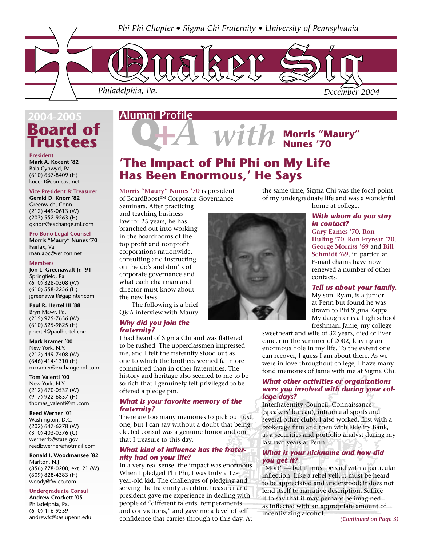

## **Board of Trustees 2004-2005**

**President Mark A. Kocent '82** Bala Cynwyd, Pa. (610) 667-8409 (H) kocent@comcast.net

#### **Vice President & Treasurer**

**Gerald D. Knorr '82** Greenwich, Conn. (212) 449-0613 (W) (203) 552-9263 (H) gknorr@exchange.ml.com

#### **Pro Bono Legal Counsel**

**Morris "Maury" Nunes '70** Fairfax, Va. man.apc@verizon.net

#### **Members**

**Jon L. Greenawalt Jr. '91** Springfield, Pa. (610) 328-0308 (W) (610) 558-2256 (H) jgreenawalt@gapinter.com

#### **Paul R. Hertel III '88** Bryn Mawr, Pa. (215) 925-7656 (W) (610) 525-9825 (H) phertel@paulhertel.com

**Mark Kramer '00**

New York, N.Y. (212) 449-7408 (W) (646) 414-1310 (H) mkramer@exchange.ml.com

#### **Tom Valenti '00**

New York, N.Y. (212) 670-0537 (W) (917) 922-6837 (H) thomas\_valenti@ml.com

#### **Reed Werner '01** Washington, D.C. (202) 647-6278 (W)

(310) 403-0376 (C) wernerrb@state.gov reedbwerner@hotmail.com

#### **Ronald I. Woodmansee '82** Marlton, N.J. (856) 778-0200, ext. 21 (W) (609) 828-4383 (H) woody@fw-co.com

**Undergraduate Consul Andrew Crockett '05** Philadelphia, Pa. (610) 416-9539 andrewfc@sas.upenn.edu

## **Alumni Profile**

 $With$  Morris "Maury"

## **'The Impact of Phi Phi on My Life Has Been Enormous,' He Says**

**Morris "Maury" Nunes '70** is president of BoardBoost™ Corporate Governance

Seminars. After practicing and teaching business law for 25 years, he has branched out into working in the boardrooms of the top profit and nonprofit corporations nationwide, consulting and instructing on the do's and don'ts of corporate governance and what each chairman and director must know about the new laws.

 The following is a brief Q&A interview with Maury:

#### *Why did you join the fraternity?*

I had heard of Sigma Chi and was flattered to be rushed. The upperclassmen impressed me, and I felt the fraternity stood out as one to which the brothers seemed far more committed than in other fraternities. The history and heritage also seemed to me to be so rich that I genuinely felt privileged to be offered a pledge pin.

#### *What is your favorite memory of the fraternity?*

There are too many memories to pick out just one, but I can say without a doubt that being elected consul was a genuine honor and one that I treasure to this day.

#### *What kind of influence has the fraternity had on your life?*

In a very real sense, the impact was enormous. When I pledged Phi Phi, I was truly a 17 year-old kid. The challenges of pledging and serving the fraternity as editor, treasurer and president gave me experience in dealing with people of "different talents, temperaments and convictions," and gave me a level of self confidence that carries through to this day. At



the same time, Sigma Chi was the focal point of my undergraduate life and was a wonderful home at college.

### *With whom do you stay in contact?*

**Gary Eames '70**, **Ron Huling '70**, **Ron Fryrear '70**, **George Morriss '69** and **Bill Schmidt '69**, in particular. E-mail chains have now renewed a number of other contacts.

#### *Tell us about your family.*

My son, Ryan, is a junior at Penn but found he was drawn to Phi Sigma Kappa. My daughter is a high school freshman. Janie, my college

sweetheart and wife of 32 years, died of liver cancer in the summer of 2002, leaving an enormous hole in my life. To the extent one can recover, I guess I am about there. As we were in love throughout college, I have many fond memories of Janie with me at Sigma Chi.

#### *What other activities or organizations were you involved with during your college days?*

Interfraternity Council, Connaissance (speakers' bureau), intramural sports and several other clubs. I also worked, first with a brokerage firm and then with Fidelity Bank, as a securities and portfolio analyst during my last two years at Penn.

#### *What is your nickname and how did you get it?*

"Mort" — but it must be said with a particular inflection. Like a rebel yell, it must be heard to be appreciated and understood; it does not lend itself to narrative description. Suffice it to say that it may perhaps be imagined as inflected with an appropriate amount of incentivizing alcohol.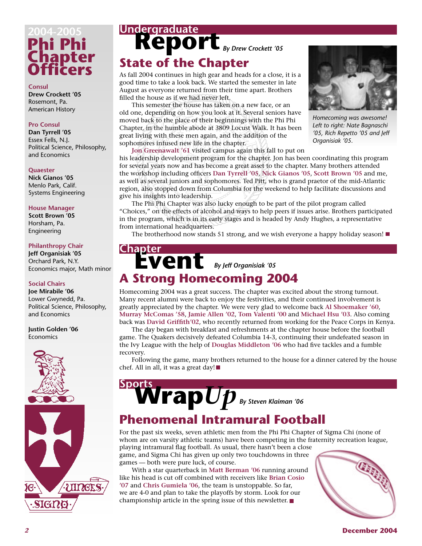# **Phi Phi Chapter Officers 2004-2005**

**Consul Drew Crockett '05** Rosemont, Pa. American History

#### **Pro Consul**

**Dan Tyrrell '05** Essex Fells, N.J. Political Science, Philosophy, and Economics

#### **Quaester**

**Nick Gianos '05** Menlo Park, Calif. Systems Engineering

#### **House Manager**

**Scott Brown '05** Horsham, Pa. Engineering

#### **Philanthropy Chair**

**Jeff Organisiak '05** Orchard Park, N.Y. Economics major, Math minor

#### **Social Chairs**

**Joe Mirabile '06** Lower Gwynedd, Pa. Political Science, Philosophy, and Economics

**Justin Golden '06** Economics



# Undergraduate<br> **Report By Drew Crockett '05 State of the Chapter**

As fall 2004 continues in high gear and heads for a close, it is a good time to take a look back. We started the semester in late August as everyone returned from their time apart. Brothers filled the house as if we had never left.

 This semester the house has taken on a new face, or an old one, depending on how you look at it. Several seniors have moved back to the place of their beginnings with the Phi Phi Chapter, in the humble abode at 3809 Locust Walk. It has been great living with these men again, and the addition of the sophomores infused new life in the chapter.



*Homecoming was awesome! Left to right: Nate Bagnaschi '05, Rich Repetto '05 and Jeff Organisiak '05.*

**Jon Greenawalt '61** visited campus again this fall to put on

his leadership development program for the chapter. Jon has been coordinating this program for several years now and has become a great asset to the chapter. Many brothers attended the workshop including officers **Dan Tyrrell '05**, **Nick Gianos '05**, **Scott Brown '05** and me, as well as several juniors and sophomores. Ted Pitt, who is grand praetor of the mid-Atlantic region, also stopped down from Columbia for the weekend to help facilitate discussions and give his insights into leadership.

 The Phi Phi Chapter was also lucky enough to be part of the pilot program called "Choices," on the effects of alcohol and ways to help peers if issues arise. Brothers participated in the program, which is in its early stages and is headed by Andy Hughes, a representative from international headquarters.

The brotherhood now stands 51 strong, and we wish everyone a happy holiday season!

# Chapter<br> **EVENt** *By Jeff Organisiak '05* **A Strong Homecoming 2004**

Homecoming 2004 was a great success. The chapter was excited about the strong turnout. Many recent alumni were back to enjoy the festivities, and their continued involvement is greatly appreciated by the chapter. We were very glad to welcome back **Al Shoemaker '60**, **Murray McComas '58**, **Jamie Allen '02**, **Tom Valenti '00** and **Michael Hsu '03**. Also coming back was **David Griffith'02**, who recently returned from working for the Peace Corps in Kenya.

 The day began with breakfast and refreshments at the chapter house before the football game. The Quakers decisively defeated Columbia 14-3, continuing their undefeated season in the Ivy League with the help of **Douglas Middleton '06** who had five tackles and a fumble recovery.

 Following the game, many brothers returned to the house for a dinner catered by the house chef. All in all, it was a great day!

# **Wrap***Up* **Sports**  *By Steven Klaiman '06*

## **Phenomenal Intramural Football**

For the past six weeks, seven athletic men from the Phi Phi Chapter of Sigma Chi (none of whom are on varsity athletic teams) have been competing in the fraternity recreation league, playing intramural flag football. As usual, there hasn't been a close

game, and Sigma Chi has given up only two touchdowns in three games — both were pure luck, of course.

 With a star quarterback in **Matt Berman '06** running around like his head is cut off combined with receivers like **Brian Cosio '07** and **Chris Gumiela '06**, the team is unstoppable. So far, we are 4-0 and plan to take the playoffs by storm. Look for our championship article in the spring issue of this newsletter.



#### *2* **December 2004**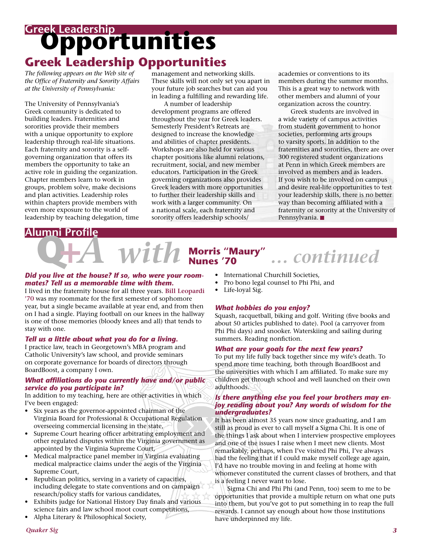# **Opportunities Greek Leadership Greek Leadership Opportunities**

*The following appears on the Web site of the Office of Fraternity and Sorority Affairs at the University of Pennsylvania:*

The University of Pennsylvania's Greek community is dedicated to building leaders. Fraternities and sororities provide their members with a unique opportunity to explore leadership through real-life situations. Each fraternity and sorority is a selfgoverning organization that offers its members the opportunity to take an active role in guiding the organization. Chapter members learn to work in groups, problem solve, make decisions and plan activities. Leadership roles within chapters provide members with even more exposure to the world of leadership by teaching delegation, time

management and networking skills. These skills will not only set you apart in your future job searches but can aid you in leading a fulfilling and rewarding life.

 A number of leadership development programs are offered throughout the year for Greek leaders. Semesterly President's Retreats are designed to increase the knowledge and abilities of chapter presidents. Workshops are also held for various chapter positions like alumni relations, recruitment, social, and new member educators. Participation in the Greek governing organizations also provides Greek leaders with more opportunities to further their leadership skills and work with a larger community. On a national scale, each fraternity and sorority offers leadership schools/

academies or conventions to its members during the summer months. This is a great way to network with other members and alumni of your organization across the country.

 Greek students are involved in a wide variety of campus activities from student government to honor societies, performing arts groups to varsity sports. In addition to the fraternities and sororities, there are over 300 registered student organizations at Penn in which Greek members are involved as members and as leaders. If you wish to be involved on campus and desire real-life opportunities to test your leadership skills, there is no better way than becoming affiliated with a fraternity or sorority at the University of Pennsylvania.

### **Alumni Profile**

# With Norris "Maury" ... continued

#### *Did you live at the house? If so, who were your roommates? Tell us a memorable time with them.*

I lived in the fraternity house for all three years. **Bill Leopardi '70** was my roommate for the first semester of sophomore year, but a single became available at year end, and from then on I had a single. Playing football on our knees in the hallway is one of those memories (bloody knees and all) that tends to stay with one.

#### *Tell us a little about what you do for a living.*

I practice law, teach in Georgetown's MBA program and Catholic University's law school, and provide seminars on corporate governance for boards of directors through BoardBoost, a company I own.

#### *What affiliations do you currently have and/or public service do you participate in?*

In addition to my teaching, here are other activities in which I've been engaged:

- Six years as the governor-appointed chairman of the Virginia Board for Professional & Occupational Regulation overseeing commercial licensing in the state,
- Supreme Court hearing officer arbitrating employment and other regulated disputes within the Virginia government as appointed by the Virginia Supreme Court,
- Medical malpractice panel member in Virginia evaluating medical malpractice claims under the aegis of the Virginia Supreme Court,
- Republican politics, serving in a variety of capacities, including delegate to state conventions and on campaign research/policy staffs for various candidates,
- Exhibits judge for National History Day finals and various science fairs and law school moot court competitions,
- Alpha Literary & Philosophical Society,
- International Churchill Societies,
- Pro bono legal counsel to Phi Phi, and
- Life-loyal Sig.

#### *What hobbies do you enjoy?*

Squash, racquetball, biking and golf. Writing (five books and about 50 articles published to date). Pool (a carryover from Phi Phi days) and snooker. Waterskiing and sailing during summers. Reading nonfiction.

#### *What are your goals for the next few years?*

To put my life fully back together since my wife's death. To spend more time teaching, both through BoardBoost and the universities with which I am affiliated. To make sure my children get through school and well launched on their own adulthoods.

#### *Is there anything else you feel your brothers may enjoy reading about you? Any words of wisdom for the undergraduates?*

It has been almost 35 years now since graduating, and I am still as proud as ever to call myself a Sigma Chi. It is one of the things I ask about when I interview prospective employees and one of the issues I raise when I meet new clients. Most remarkably, perhaps, when I've visited Phi Phi, I've always had the feeling that if I could make myself college age again, I'd have no trouble moving in and feeling at home with whomever constituted the current classes of brothers, and that is a feeling I never want to lose.

 Sigma Chi and Phi Phi (and Penn, too) seem to me to be opportunities that provide a multiple return on what one puts into them, but you've got to put something in to reap the full rewards. I cannot say enough about how those institutions have underpinned my life.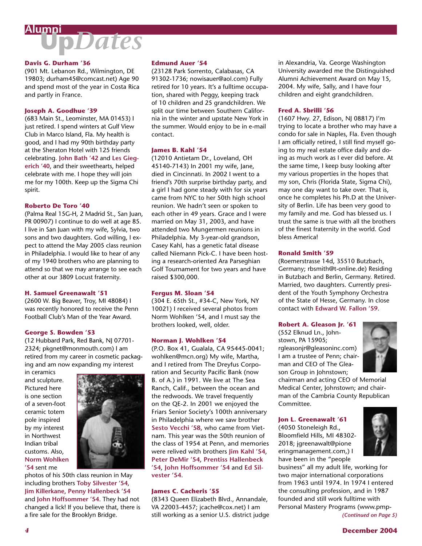# **Up***Dates* **Alumni**

#### **Davis G. Durham '36**

(901 Mt. Lebanon Rd., Wilmington, DE 19803; durham45@comcast.net) Age 90 and spend most of the year in Costa Rica and partly in France.

#### **Joseph A. Goodhue '39**

(683 Main St., Leominster, MA 01453) I just retired. I spend winters at Gulf View Club in Marco Island, Fla. My health is good, and I had my 90th birthday party at the Sheraton Hotel with 125 friends celebrating. **John Bath '42** and **Les Giegerich '40**, and their sweethearts, helped celebrate with me. I hope they will join me for my 100th. Keep up the Sigma Chi spirit.

#### **Roberto De Toro '40**

(Palma Real 15G-H, 2 Madrid St., San Juan, PR 00907) I continue to do well at age 85. I live in San Juan with my wife, Sylvia, two sons and two daughters. God willing, I expect to attend the May 2005 class reunion in Philadelphia. I would like to hear of any of my 1940 brothers who are planning to attend so that we may arrange to see each other at our 3809 Locust fraternity.

#### **H. Samuel Greenawalt '51**

(2600 W. Big Beaver, Troy, MI 48084) I was recently honored to receive the Penn Football Club's Man of the Year Award.

#### **George S. Bowden '53**

(12 Hubbard Park, Red Bank, NJ 07701- 2324; pkgnet@monmouth.com) I am retired from my career in cosmetic packaging and am now expanding my interest

in ceramics and sculpture. Pictured here is one section of a seven-foot ceramic totem pole inspired by my interest in Northwest Indian tribal customs. Also, **Norm Wohlken '54** sent me



photos of his 50th class reunion in May including brothers **Toby Silvester '54**, **Jim Killerkane**, **Penny Hallenbeck '54** and **John Hoffsommer '54**. They had not changed a lick! If you believe that, there is a fire sale for the Brooklyn Bridge.

#### **Edmund Auer '54**

(23128 Park Sorrento, Calabasas, CA 91302-1736; nowisauer@aol.com) Fully retired for 10 years. It's a fulltime occupation, shared with Peggy, keeping track of 10 children and 25 grandchildren. We split our time between Southern California in the winter and upstate New York in the summer. Would enjoy to be in e-mail contact.

#### **James B. Kahl '54**

(12010 Antietam Dr., Loveland, OH 45140-7143) In 2001 my wife, Jane, died in Cincinnati. In 2002 I went to a friend's 70th surprise birthday party, and a girl I had gone steady with for six years came from NYC to her 50th high school reunion. We hadn't seen or spoken to each other in 49 years. Grace and I were married on May 31, 2003, and have attended two Mungermen reunions in Philadelphia. My 3-year-old grandson, Casey Kahl, has a genetic fatal disease called Niemann Pick-C. I have been hosting a research-oriented Ara Parseghian Golf Tournament for two years and have raised \$300,000.

#### **Fergus M. Sloan '54**

(304 E. 65th St., #34-C, New York, NY 10021) I received several photos from Norm Wohlken '54, and I must say the brothers looked, well, older.

#### **Norman J. Wohlken '54**

(P.O. Box 41, Gualala, CA 95445-0041; wohlken@mcn.org) My wife, Martha, and I retired from The Dreyfus Corporation and Security Pacific Bank (now B. of A.) in 1991. We live at The Sea Ranch, Calif., between the ocean and the redwoods. We travel frequently on the QE-2. In 2001 we enjoyed the Friars Senior Society's 100th anniversary in Philadelphia where we saw brother **Sesto Vecchi '58**, who came from Vietnam. This year was the 50th reunion of the class of 1954 at Penn, and memories were relived with brothers **Jim Kahl '54**, **Peter DeMir '54**, **Prentiss Hallenbeck '54**, **John Hoffsommer '54** and **Ed Silvester '54**.

#### **James C. Cacheris '55**

(8343 Queen Elizabeth Blvd., Annandale, VA 22003-4457; jcache@cox.net) I am still working as a senior U.S. district judge in Alexandria, Va. George Washington University awarded me the Distinguished Alumni Achievement Award on May 15, 2004. My wife, Sally, and I have four children and eight grandchildren.

#### **Fred A. Sbrilli '56**

(1607 Hwy. 27, Edison, NJ 08817) I'm trying to locate a brother who may have a condo for sale in Naples, Fla. Even though I am officially retired, I still find myself going to my real estate office daily and doing as much work as I ever did before. At the same time, I keep busy looking after my various properties in the hopes that my son, Chris (Florida State, Sigma Chi), may one day want to take over. That is, once he completes his Ph.D at the University of Berlin. Life has been very good to my family and me. God has blessed us. I trust the same is true with all the brothers of the finest fraternity in the world. God bless America!

#### **Ronald Smith '59**

(Roemerstrasse 14d, 35510 Butzbach, Germany; rbsmith@t-online.de) Residing in Butzbach and Berlin, Germany. Retired. Married, two daughters. Currently president of the Youth Symphony Orchestra of the State of Hesse, Germany. In close contact with **Edward W. Fallon '59**.

#### **Robert A. Gleason Jr. '61**

(552 Elknud Ln., Johnstown, PA 15905; rgleasonjr@gleasoninc.com) I am a trustee of Penn; chairman and CEO of The Gleason Group in Johnstown;



chairman and acting CEO of Memorial Medical Center, Johnstown; and chairman of the Cambria County Republican Committee.

### **Jon L. Greenawalt '61** (4050 Stoneleigh Rd.,

Bloomfield Hills, MI 48302- 2018; jgreenawalt@pione eringmanagement.com,) I have been in the "people



business" all my adult life, working for two major international corporations from 1963 until 1974. In 1974 I entered the consulting profession, and in 1987 founded and still work fulltime with Personal Mastery Programs (www.pmp-*(Continued on Page 5)*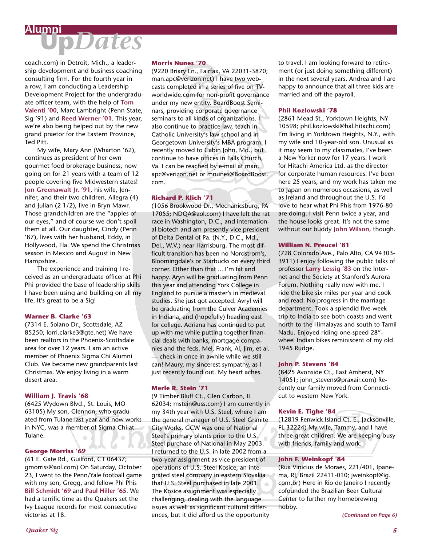**Up***Dates* **Alumni**

coach.com) in Detroit, Mich., a leadership development and business coaching consulting firm. For the fourth year in a row, I am conducting a Leadership Development Project for the undergraduate officer team, with the help of **Tom Valenti '00**, Marc Lambright (Penn State, Sig '91) and **Reed Werner '01**. This year, we're also being helped out by the new grand praetor for the Eastern Province, Ted Pitt.

 My wife, Mary Ann (Wharton '62), continues as president of her own gourmet food brokerage business, now going on for 21 years with a team of 12 people covering five Midwestern states! **Jon Greenawalt Jr. '91**, his wife, Jennifer, and their two children, Allegra (4) and Julian (2 1/2), live in Bryn Mawr. Those grandchildren are the "apples of our eyes," and of course we don't spoil them at all. Our daughter, Cindy (Penn '87), lives with her husband, Eddy, in Hollywood, Fla. We spend the Christmas season in Mexico and August in New Hampshire.

 The experience and training I received as an undergraduate officer at Phi Phi provided the base of leadership skills I have been using and building on all my life. It's great to be a Sig!

#### **Warner B. Clarke '63**

(7314 E. Solano Dr., Scottsdale, AZ 85250; lorri.clarke3@gte.net) We have been realtors in the Phoenix-Scottsdale area for over 12 years. I am an active member of Phoenix Sigma Chi Alumni Club. We became new grandparents last Christmas. We enjoy living in a warm desert area.

#### **William J. Travis '68**

(6425 Wydown Blvd., St. Louis, MO 63105) My son, Glennon, who graduated from Tulane last year and now works in NYC, was a member of Sigma Chi at Tulane.

#### **George Morriss '69**

(61 E. Gate Rd., Guilford, CT 06437; gmorriss@aol.com) On Saturday, October 23, I went to the Penn/Yale football game with my son, Gregg, and fellow Phi Phis **Bill Schmidt '69** and **Paul Hiller '65**. We had a terrific time as the Quakers set the Ivy League records for most consecutive victories at 18.

#### **Morris Nunes '70**

(9220 Briary Ln., Fairfax, VA 22031-3870; man.apc@verizon.net) I have two webcasts completed in a series of five on TVworldwide.com for non-profit governance under my new entity, BoardBoost Seminars, providing corporate governance seminars to all kinds of organizations. I also continue to practice law, teach in Catholic University's law school and in Georgetown University's MBA program. I recently moved to Cabin John, Md., but continue to have offices in Falls Church, Va. I can be reached by e-mail at man. apc@verizon.net or mnunes@BoardBoost. com.

#### **Richard P. Klich '71**

(1056 Brookwood Dr., Mechanicsburg, PA 17055; NDQA@aol.com) I have left the rat race in Washington, D.C., and international biotech and am presently vice president of Delta Dental of Pa. (N.Y., D.C., Md., Del., W.V.) near Harrisburg. The most difficult transition has been no Nordstrom's, Bloomingdale's or Starbucks on every third corner. Other than that ... I'm fat and happy. Aryn will be graduating from Penn this year and attending York College in England to pursue a master's in medieval studies. She just got accepted. Avryl will be graduating from the Culver Academies in Indiana, and (hopefully) heading east for college. Adriana has continued to put up with me while putting together financial deals with banks, mortgage companies and the feds. Mel, Frank, Al, Jim, et al. — check in once in awhile while we still can! Maury, my sincerest sympathy, as I just recently found out. My heart aches.

#### **Merle R. Stein '71**

(9 Timber Bluff Ct., Glen Carbon, IL 62034; mstein@uss.com) I am currently in my 34th year with U.S. Steel, where I am the general manager of U.S. Steel Granite City Works. GCW was one of National Steel's primary plants prior to the U.S. Steel purchase of National in May 2003. I returned to the U.S. in late 2002 from a two-year assignment as vice president of operations of U.S. Steel Kosice, an integrated steel company in eastern Slovakia that U.S. Steel purchased in late 2001. The Kosice assignment was especially challenging, dealing with the language issues as well as significant cultural differences, but it did afford us the opportunity

to travel. I am looking forward to retirement (or just doing something different) in the next several years. Andrea and I are happy to announce that all three kids are married and off the payroll.

#### **Phil Kozlowski '78**

(2861 Mead St., Yorktown Heights, NY 10598; phil.kozlowski@hal.hitachi.com) I'm living in Yorktown Heights, N.Y., with my wife and 10-year-old son. Unusual as it may seem to my classmates, I've been a New Yorker now for 17 years. I work for Hitachi America Ltd. as the director for corporate human resources. I've been here 25 years, and my work has taken me to Japan on numerous occasions, as well as Ireland and throughout the U.S. I'd love to hear what Phi Phis from 1976-80 are doing. I visit Penn twice a year, and the house looks great. It's not the same without our buddy **John Wilson**, though.

#### **William N. Preucel '81**

(728 Colorado Ave., Palo Alto, CA 94303- 3911) I enjoy following the public talks of professor **Larry Lessig '83** on the Internet and the Society at Stanford's Aurora Forum. Nothing really new with me. I ride the bike six miles per year and cook and read. No progress in the marriage department. Took a splendid five-week trip to India to see both coasts and went north to the Himalayas and south to Tamil Nadu. Enjoyed riding one-speed 28" wheel Indian bikes reminiscent of my old 1945 Rudge.

#### **John P. Stevens '84**

(8425 Avonside Ct., East Amherst, NY 14051; john\_stevens@praxair.com) Recently our family moved from Connecticut to western New York.

#### **Kevin E. Tighe '84**

(12819 Fenwick Island Ct. E., Jacksonville, FL 32224) My wife, Tammy, and I have three great children. We are keeping busy with friends, family and work.

#### **John F. Weinkopf '84**

(Rua Vinicius de Moraes, 221/401, Ipanema, RJ, Brazil 22411-010; jweinkopf@ig. com.br) Here in Rio de Janeiro I recently cofounded the Brazilian Beer Cultural Center to further my homebrewing hobby.